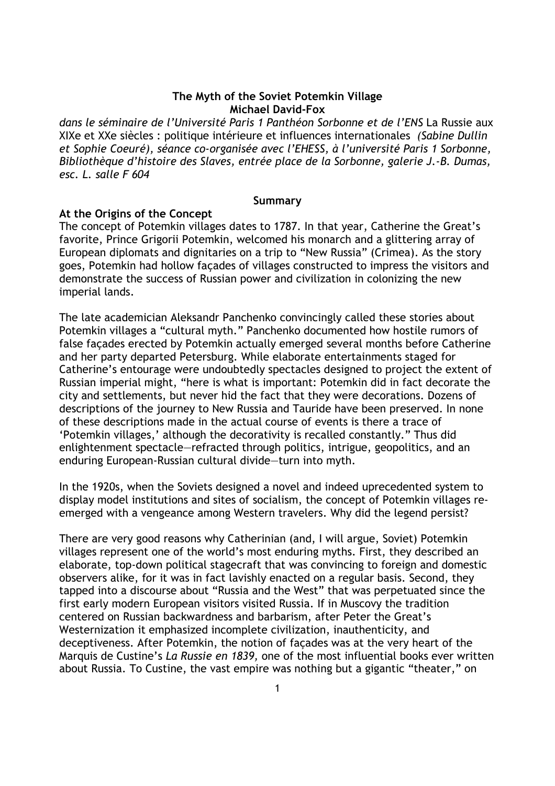# **The Myth of the Soviet Potemkin Village Michael David-Fox**

*dans le séminaire de l'Université Paris 1 Panthéon Sorbonne et de l'ENS* La Russie aux XIXe et XXe siècles : politique intérieure et influences internationales *(Sabine Dullin et Sophie Coeuré), séance co-organisée avec l'EHESS, à l'université Paris 1 Sorbonne, Bibliothèque d'histoire des Slaves, entrée place de la Sorbonne, galerie J.-B. Dumas, esc. L. salle F 604*

### **Summary**

## **At the Origins of the Concept**

The concept of Potemkin villages dates to 1787. In that year, Catherine the Great's favorite, Prince Grigorii Potemkin, welcomed his monarch and a glittering array of European diplomats and dignitaries on a trip to "New Russia" (Crimea). As the story goes, Potemkin had hollow façades of villages constructed to impress the visitors and demonstrate the success of Russian power and civilization in colonizing the new imperial lands.

The late academician Aleksandr Panchenko convincingly called these stories about Potemkin villages a "cultural myth." Panchenko documented how hostile rumors of false façades erected by Potemkin actually emerged several months before Catherine and her party departed Petersburg. While elaborate entertainments staged for Catherine's entourage were undoubtedly spectacles designed to project the extent of Russian imperial might, "here is what is important: Potemkin did in fact decorate the city and settlements, but never hid the fact that they were decorations. Dozens of descriptions of the journey to New Russia and Tauride have been preserved. In none of these descriptions made in the actual course of events is there a trace of 'Potemkin villages,' although the decorativity is recalled constantly." Thus did enlightenment spectacle—refracted through politics, intrigue, geopolitics, and an enduring European-Russian cultural divide—turn into myth.

In the 1920s, when the Soviets designed a novel and indeed uprecedented system to display model institutions and sites of socialism, the concept of Potemkin villages reemerged with a vengeance among Western travelers. Why did the legend persist?

There are very good reasons why Catherinian (and, I will argue, Soviet) Potemkin villages represent one of the world's most enduring myths. First, they described an elaborate, top-down political stagecraft that was convincing to foreign and domestic observers alike, for it was in fact lavishly enacted on a regular basis. Second, they tapped into a discourse about "Russia and the West" that was perpetuated since the first early modern European visitors visited Russia. If in Muscovy the tradition centered on Russian backwardness and barbarism, after Peter the Great's Westernization it emphasized incomplete civilization, inauthenticity, and deceptiveness. After Potemkin, the notion of façades was at the very heart of the Marquis de Custine's *La Russie en 1839,* one of the most influential books ever written about Russia. To Custine, the vast empire was nothing but a gigantic "theater," on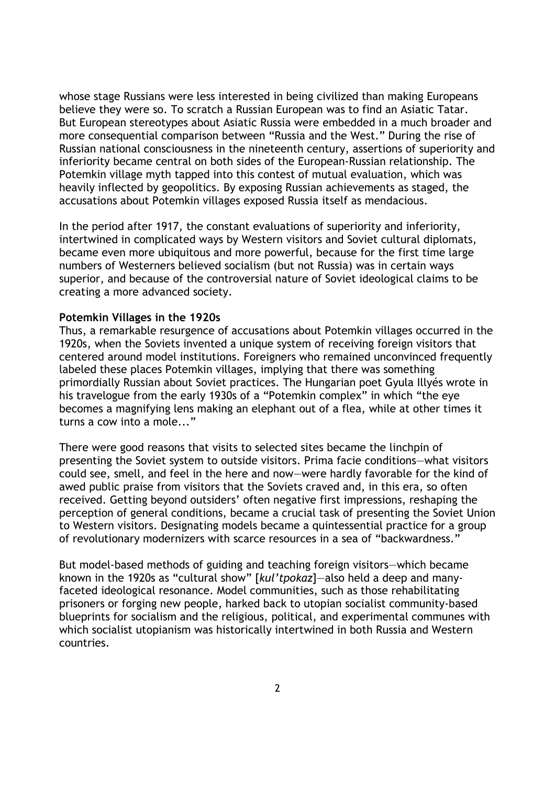whose stage Russians were less interested in being civilized than making Europeans believe they were so. To scratch a Russian European was to find an Asiatic Tatar. But European stereotypes about Asiatic Russia were embedded in a much broader and more consequential comparison between "Russia and the West." During the rise of Russian national consciousness in the nineteenth century, assertions of superiority and inferiority became central on both sides of the European-Russian relationship. The Potemkin village myth tapped into this contest of mutual evaluation, which was heavily inflected by geopolitics. By exposing Russian achievements as staged, the accusations about Potemkin villages exposed Russia itself as mendacious.

In the period after 1917, the constant evaluations of superiority and inferiority, intertwined in complicated ways by Western visitors and Soviet cultural diplomats, became even more ubiquitous and more powerful, because for the first time large numbers of Westerners believed socialism (but not Russia) was in certain ways superior, and because of the controversial nature of Soviet ideological claims to be creating a more advanced society.

### **Potemkin Villages in the 1920s**

Thus, a remarkable resurgence of accusations about Potemkin villages occurred in the 1920s, when the Soviets invented a unique system of receiving foreign visitors that centered around model institutions. Foreigners who remained unconvinced frequently labeled these places Potemkin villages, implying that there was something primordially Russian about Soviet practices. The Hungarian poet Gyula Illyés wrote in his travelogue from the early 1930s of a "Potemkin complex" in which "the eye becomes a magnifying lens making an elephant out of a flea, while at other times it turns a cow into a mole..."

There were good reasons that visits to selected sites became the linchpin of presenting the Soviet system to outside visitors. Prima facie conditions—what visitors could see, smell, and feel in the here and now—were hardly favorable for the kind of awed public praise from visitors that the Soviets craved and, in this era, so often received. Getting beyond outsiders' often negative first impressions, reshaping the perception of general conditions, became a crucial task of presenting the Soviet Union to Western visitors. Designating models became a quintessential practice for a group of revolutionary modernizers with scarce resources in a sea of "backwardness."

But model-based methods of guiding and teaching foreign visitors—which became known in the 1920s as "cultural show" [*kul'tpokaz*]—also held a deep and manyfaceted ideological resonance. Model communities, such as those rehabilitating prisoners or forging new people, harked back to utopian socialist community-based blueprints for socialism and the religious, political, and experimental communes with which socialist utopianism was historically intertwined in both Russia and Western countries.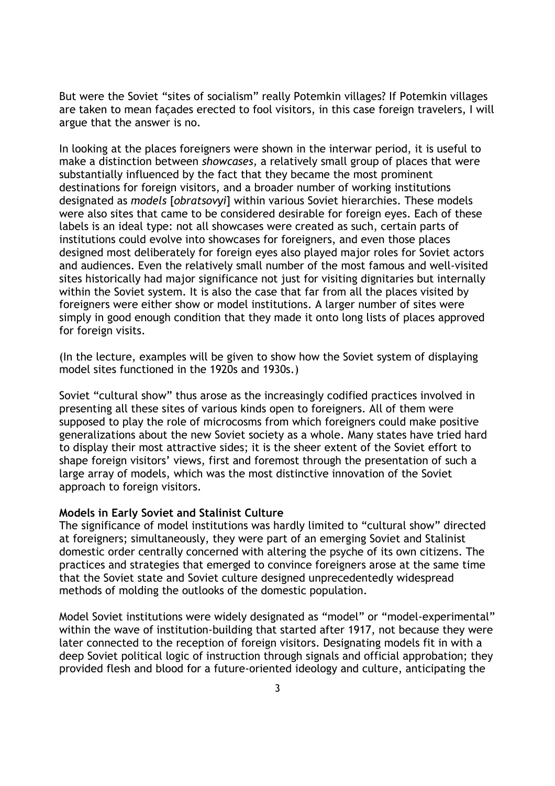But were the Soviet "sites of socialism" really Potemkin villages? If Potemkin villages are taken to mean façades erected to fool visitors, in this case foreign travelers, I will argue that the answer is no.

In looking at the places foreigners were shown in the interwar period, it is useful to make a distinction between *showcases,* a relatively small group of places that were substantially influenced by the fact that they became the most prominent destinations for foreign visitors, and a broader number of working institutions designated as *models* [*obratsovyi*] within various Soviet hierarchies. These models were also sites that came to be considered desirable for foreign eyes. Each of these labels is an ideal type: not all showcases were created as such, certain parts of institutions could evolve into showcases for foreigners, and even those places designed most deliberately for foreign eyes also played major roles for Soviet actors and audiences. Even the relatively small number of the most famous and well-visited sites historically had major significance not just for visiting dignitaries but internally within the Soviet system. It is also the case that far from all the places visited by foreigners were either show or model institutions. A larger number of sites were simply in good enough condition that they made it onto long lists of places approved for foreign visits.

(In the lecture, examples will be given to show how the Soviet system of displaying model sites functioned in the 1920s and 1930s.)

Soviet "cultural show" thus arose as the increasingly codified practices involved in presenting all these sites of various kinds open to foreigners. All of them were supposed to play the role of microcosms from which foreigners could make positive generalizations about the new Soviet society as a whole. Many states have tried hard to display their most attractive sides; it is the sheer extent of the Soviet effort to shape foreign visitors' views, first and foremost through the presentation of such a large array of models, which was the most distinctive innovation of the Soviet approach to foreign visitors.

#### **Models in Early Soviet and Stalinist Culture**

The significance of model institutions was hardly limited to "cultural show" directed at foreigners; simultaneously, they were part of an emerging Soviet and Stalinist domestic order centrally concerned with altering the psyche of its own citizens. The practices and strategies that emerged to convince foreigners arose at the same time that the Soviet state and Soviet culture designed unprecedentedly widespread methods of molding the outlooks of the domestic population.

Model Soviet institutions were widely designated as "model" or "model-experimental" within the wave of institution-building that started after 1917, not because they were later connected to the reception of foreign visitors. Designating models fit in with a deep Soviet political logic of instruction through signals and official approbation; they provided flesh and blood for a future-oriented ideology and culture, anticipating the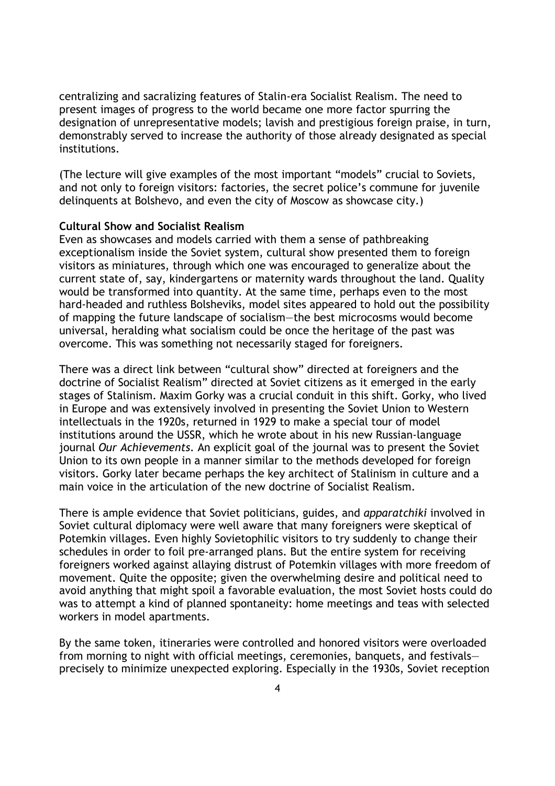centralizing and sacralizing features of Stalin-era Socialist Realism. The need to present images of progress to the world became one more factor spurring the designation of unrepresentative models; lavish and prestigious foreign praise, in turn, demonstrably served to increase the authority of those already designated as special institutions.

(The lecture will give examples of the most important "models" crucial to Soviets, and not only to foreign visitors: factories, the secret police's commune for juvenile delinquents at Bolshevo, and even the city of Moscow as showcase city.)

## **Cultural Show and Socialist Realism**

Even as showcases and models carried with them a sense of pathbreaking exceptionalism inside the Soviet system, cultural show presented them to foreign visitors as miniatures, through which one was encouraged to generalize about the current state of, say, kindergartens or maternity wards throughout the land. Quality would be transformed into quantity. At the same time, perhaps even to the most hard-headed and ruthless Bolsheviks, model sites appeared to hold out the possibility of mapping the future landscape of socialism—the best microcosms would become universal, heralding what socialism could be once the heritage of the past was overcome. This was something not necessarily staged for foreigners.

There was a direct link between "cultural show" directed at foreigners and the doctrine of Socialist Realism" directed at Soviet citizens as it emerged in the early stages of Stalinism. Maxim Gorky was a crucial conduit in this shift. Gorky, who lived in Europe and was extensively involved in presenting the Soviet Union to Western intellectuals in the 1920s, returned in 1929 to make a special tour of model institutions around the USSR, which he wrote about in his new Russian-language journal *Our Achievements*. An explicit goal of the journal was to present the Soviet Union to its own people in a manner similar to the methods developed for foreign visitors. Gorky later became perhaps the key architect of Stalinism in culture and a main voice in the articulation of the new doctrine of Socialist Realism.

There is ample evidence that Soviet politicians, guides, and *apparatchiki* involved in Soviet cultural diplomacy were well aware that many foreigners were skeptical of Potemkin villages. Even highly Sovietophilic visitors to try suddenly to change their schedules in order to foil pre-arranged plans. But the entire system for receiving foreigners worked against allaying distrust of Potemkin villages with more freedom of movement. Quite the opposite; given the overwhelming desire and political need to avoid anything that might spoil a favorable evaluation, the most Soviet hosts could do was to attempt a kind of planned spontaneity: home meetings and teas with selected workers in model apartments.

By the same token, itineraries were controlled and honored visitors were overloaded from morning to night with official meetings, ceremonies, banquets, and festivals precisely to minimize unexpected exploring. Especially in the 1930s, Soviet reception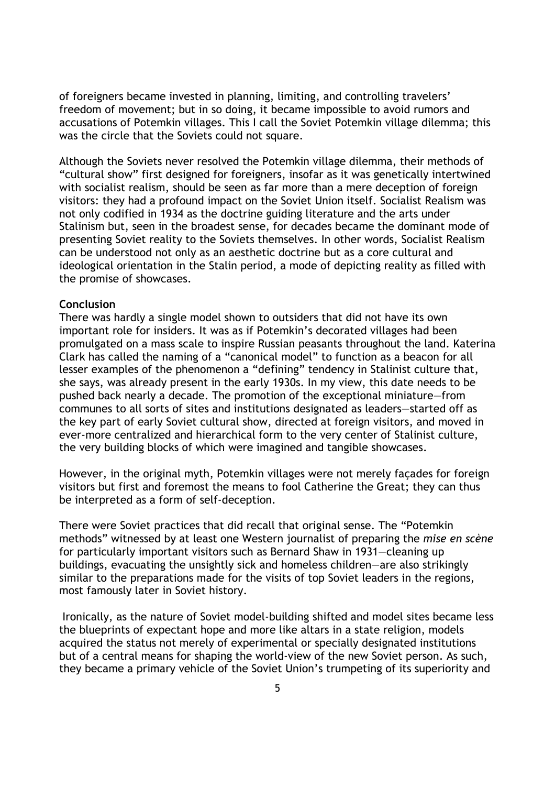of foreigners became invested in planning, limiting, and controlling travelers' freedom of movement; but in so doing, it became impossible to avoid rumors and accusations of Potemkin villages. This I call the Soviet Potemkin village dilemma; this was the circle that the Soviets could not square.

Although the Soviets never resolved the Potemkin village dilemma, their methods of "cultural show" first designed for foreigners, insofar as it was genetically intertwined with socialist realism, should be seen as far more than a mere deception of foreign visitors: they had a profound impact on the Soviet Union itself. Socialist Realism was not only codified in 1934 as the doctrine guiding literature and the arts under Stalinism but, seen in the broadest sense, for decades became the dominant mode of presenting Soviet reality to the Soviets themselves. In other words, Socialist Realism can be understood not only as an aesthetic doctrine but as a core cultural and ideological orientation in the Stalin period, a mode of depicting reality as filled with the promise of showcases.

### **Conclusion**

There was hardly a single model shown to outsiders that did not have its own important role for insiders. It was as if Potemkin's decorated villages had been promulgated on a mass scale to inspire Russian peasants throughout the land. Katerina Clark has called the naming of a "canonical model" to function as a beacon for all lesser examples of the phenomenon a "defining" tendency in Stalinist culture that, she says, was already present in the early 1930s. In my view, this date needs to be pushed back nearly a decade. The promotion of the exceptional miniature—from communes to all sorts of sites and institutions designated as leaders—started off as the key part of early Soviet cultural show, directed at foreign visitors, and moved in ever-more centralized and hierarchical form to the very center of Stalinist culture, the very building blocks of which were imagined and tangible showcases.

However, in the original myth, Potemkin villages were not merely façades for foreign visitors but first and foremost the means to fool Catherine the Great; they can thus be interpreted as a form of self-deception.

There were Soviet practices that did recall that original sense. The "Potemkin methods" witnessed by at least one Western journalist of preparing the *mise en scène* for particularly important visitors such as Bernard Shaw in 1931—cleaning up buildings, evacuating the unsightly sick and homeless children—are also strikingly similar to the preparations made for the visits of top Soviet leaders in the regions, most famously later in Soviet history.

 Ironically, as the nature of Soviet model-building shifted and model sites became less the blueprints of expectant hope and more like altars in a state religion, models acquired the status not merely of experimental or specially designated institutions but of a central means for shaping the world-view of the new Soviet person. As such, they became a primary vehicle of the Soviet Union's trumpeting of its superiority and